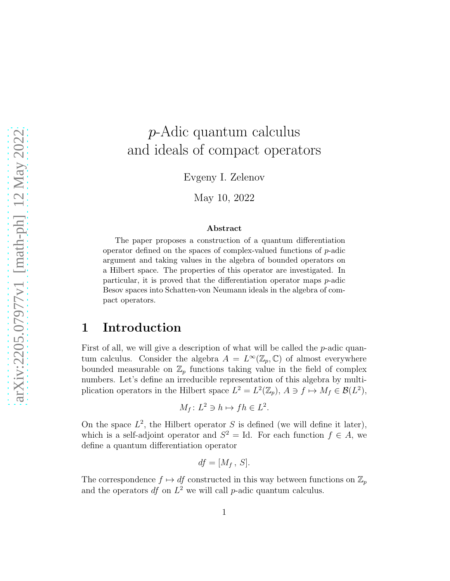# p-Adic quantum calculus and ideals of compact operators

Evgeny I. Zelenov

May 10, 2022

#### Abstract

The paper proposes a construction of a quantum differentiation operator defined on the spaces of complex-valued functions of p-adic argument and taking values in the algebra of bounded operators on a Hilbert space. The properties of this operator are investigated. In particular, it is proved that the differentiation operator maps p-adic Besov spaces into Schatten-von Neumann ideals in the algebra of compact operators.

## 1 Introduction

First of all, we will give a description of what will be called the  $p$ -adic quantum calculus. Consider the algebra  $A = L^{\infty}(\mathbb{Z}_p, \mathbb{C})$  of almost everywhere bounded measurable on  $\mathbb{Z}_p$  functions taking value in the field of complex numbers. Let's define an irreducible representation of this algebra by multiplication operators in the Hilbert space  $L^2 = L^2(\mathbb{Z}_p)$ ,  $A \ni f \mapsto M_f \in \mathcal{B}(L^2)$ ,

$$
M_f \colon L^2 \ni h \mapsto fh \in L^2.
$$

On the space  $L^2$ , the Hilbert operator S is defined (we will define it later), which is a self-adjoint operator and  $S^2 = \text{Id}$ . For each function  $f \in A$ , we define a quantum differentiation operator

$$
df=[M_f, S].
$$

The correspondence  $f \mapsto df$  constructed in this way between functions on  $\mathbb{Z}_p$ and the operators  $df$  on  $L^2$  we will call p-adic quantum calculus.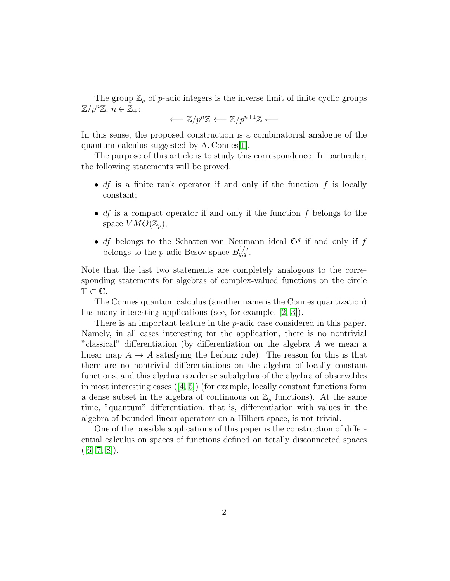The group  $\mathbb{Z}_p$  of p-adic integers is the inverse limit of finite cyclic groups  $\mathbb{Z}/p^n\mathbb{Z}, n \in \mathbb{Z}_+$ :

$$
\longleftarrow \mathbb{Z}/p^n\mathbb{Z} \longleftarrow \mathbb{Z}/p^{n+1}\mathbb{Z} \longleftarrow
$$

In this sense, the proposed construction is a combinatorial analogue of the quantum calculus suggested by A. Connes[\[1\]](#page-12-0).

The purpose of this article is to study this correspondence. In particular, the following statements will be proved.

- *df* is a finite rank operator if and only if the function  $f$  is locally constant;
- $df$  is a compact operator if and only if the function  $f$  belongs to the space  $VMO(\mathbb{Z}_n)$ ;
- *df* belongs to the Schatten-von Neumann ideal  $\mathfrak{S}^q$  if and only if f belongs to the *p*-adic Besov space  $B_{q,q}^{1/q}$ .

Note that the last two statements are completely analogous to the corresponding statements for algebras of complex-valued functions on the circle  $\mathbb{T} \subset \mathbb{C}$ .

The Connes quantum calculus (another name is the Connes quantization) has many interesting applications (see, for example, [\[2,](#page-12-1) [3\]](#page-12-2)).

There is an important feature in the *p*-adic case considered in this paper. Namely, in all cases interesting for the application, there is no nontrivial "classical" differentiation (by differentiation on the algebra A we mean a linear map  $A \to A$  satisfying the Leibniz rule). The reason for this is that there are no nontrivial differentiations on the algebra of locally constant functions, and this algebra is a dense subalgebra of the algebra of observables in most interesting cases([\[4,](#page-12-3) [5\]](#page-12-4)) (for example, locally constant functions form a dense subset in the algebra of continuous on  $\mathbb{Z}_p$  functions). At the same time, "quantum" differentiation, that is, differentiation with values in the algebra of bounded linear operators on a Hilbert space, is not trivial.

One of the possible applications of this paper is the construction of differential calculus on spaces of functions defined on totally disconnected spaces  $([6, 7, 8]).$  $([6, 7, 8]).$  $([6, 7, 8]).$  $([6, 7, 8]).$  $([6, 7, 8]).$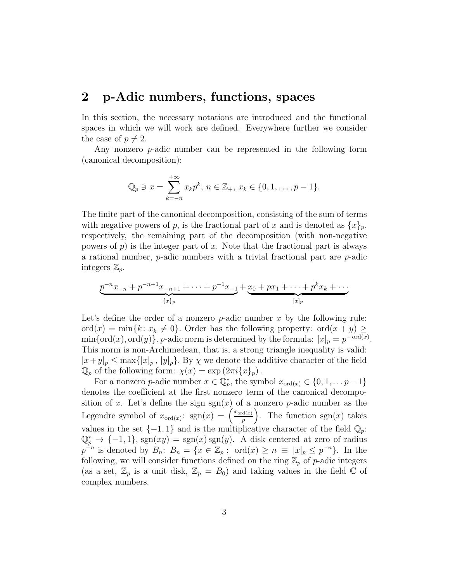#### 2 p-Adic numbers, functions, spaces

In this section, the necessary notations are introduced and the functional spaces in which we will work are defined. Everywhere further we consider the case of  $p \neq 2$ .

Any nonzero p-adic number can be represented in the following form (canonical decomposition):

$$
\mathbb{Q}_p \ni x = \sum_{k=-n}^{+\infty} x_k p^k, \ n \in \mathbb{Z}_+, \ x_k \in \{0, 1, \dots, p-1\}.
$$

The finite part of the canonical decomposition, consisting of the sum of terms with negative powers of p, is the fractional part of x and is denoted as  $\{x\}_p$ , respectively, the remaining part of the decomposition (with non-negative powers of  $p$ ) is the integer part of x. Note that the fractional part is always a rational number,  $p$ -adic numbers with a trivial fractional part are  $p$ -adic integers  $\mathbb{Z}_p$ .

$$
\underbrace{p^{-n}x_{-n} + p^{-n+1}x_{-n+1} + \cdots + p^{-1}x_{-1}}_{\{x\}_p} + \underbrace{x_0 + px_1 + \cdots + p^k x_k + \cdots}_{[x]_p}
$$

Let's define the order of a nonzero  $p$ -adic number x by the following rule: ord $(x) = \min\{k: x_k \neq 0\}$ . Order has the following property: ord $(x + y) \geq$  $\min{\lbrace \text{ord}(x), \text{ord}(y) \rbrace}$ . *p*-adic norm is determined by the formula:  $|x|_p = p^{-\text{ord}(x)}$ . This norm is non-Archimedean, that is, a strong triangle inequality is valid:  $|x+y|_p \leq \max\{|x|_p, |y|_p\}.$  By  $\chi$  we denote the additive character of the field  $\mathbb{Q}_p$  of the following form:  $\chi(x) = \exp(2\pi i \{x\}_p)$ .

For a nonzero p-adic number  $x \in \mathbb{Q}_p^*$ , the symbol  $x_{\text{ord}(x)} \in \{0, 1, \ldots p-1\}$ denotes the coefficient at the first nonzero term of the canonical decomposition of x. Let's define the sign  $sgn(x)$  of a nonzero p-adic number as the Legendre symbol of  $x_{\text{ord}(x)}$ :  $sgn(x) = \left(\frac{x_{\text{ord}(x)}}{n}\right)$ p ). The function  $sgn(x)$  takes values in the set  $\{-1, 1\}$  and is the multiplicative character of the field  $\mathbb{Q}_p$ :  $\mathbb{Q}_p^* \to \{-1,1\}$ , sgn $(xy) = \text{sgn}(x) \text{sgn}(y)$ . A disk centered at zero of radius  $p^{-n}$  is denoted by  $B_n: B_n = \{x \in \mathbb{Z}_p : \text{ord}(x) \geq n \equiv |x|_p \leq p^{-n}\}.$  In the following, we will consider functions defined on the ring  $\mathbb{Z}_p$  of p-adic integers (as a set,  $\mathbb{Z}_p$  is a unit disk,  $\mathbb{Z}_p = B_0$ ) and taking values in the field  $\mathbb C$  of complex numbers.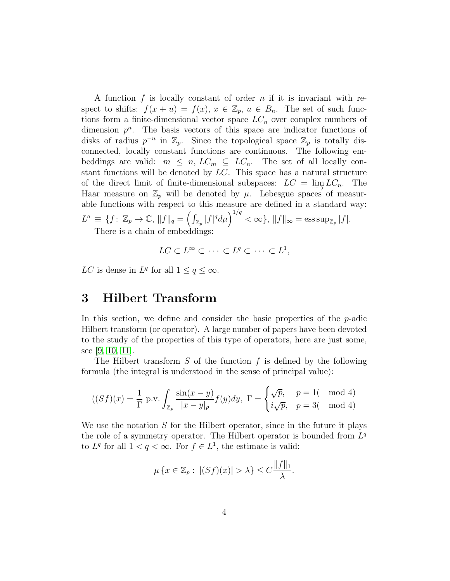A function  $f$  is locally constant of order  $n$  if it is invariant with respect to shifts:  $f(x + u) = f(x), x \in \mathbb{Z}_p, u \in B_n$ . The set of such functions form a finite-dimensional vector space  $LC_n$  over complex numbers of dimension  $p^n$ . The basis vectors of this space are indicator functions of disks of radius  $p^{-n}$  in  $\mathbb{Z}_p$ . Since the topological space  $\mathbb{Z}_p$  is totally disconnected, locally constant functions are continuous. The following embeddings are valid:  $m \leq n$ ,  $LC_m \subseteq LC_n$ . The set of all locally constant functions will be denoted by LC. This space has a natural structure of the direct limit of finite-dimensional subspaces:  $LC = \underline{\lim} LC_n$ . The Haar measure on  $\mathbb{Z}_p$  will be denoted by  $\mu$ . Lebesgue spaces of measurable functions with respect to this measure are defined in a standard way:  $L^q \equiv \{f \colon \mathbb{Z}_p \to \mathbb{C}, \, \|f\|_q = \left(\int_{\mathbb{Z}_p} |f|^q d\mu\right)^{1/q} < \infty\}, \, \|f\|_{\infty} = \operatorname{ess \, sup}_{\mathbb{Z}_p} |f|.$ There is a chain of embeddings:

$$
LC \subset L^{\infty} \subset \cdots \subset L^{q} \subset \cdots \subset L^{1},
$$

LC is dense in  $L^q$  for all  $1 \le q \le \infty$ .

#### 3 Hilbert Transform

In this section, we define and consider the basic properties of the  $p$ -adic Hilbert transform (or operator). A large number of papers have been devoted to the study of the properties of this type of operators, here are just some, see [\[9,](#page-12-8) [10,](#page-12-9) [11\]](#page-12-10).

The Hilbert transform  $S$  of the function  $f$  is defined by the following formula (the integral is understood in the sense of principal value):

$$
((Sf)(x) = \frac{1}{\Gamma} \text{ p.v.} \int_{\mathbb{Z}_p} \frac{\sin(x-y)}{|x-y|_p} f(y) dy, \ \Gamma = \begin{cases} \sqrt{p}, & p = 1 \text{ (mod 4)}\\ i\sqrt{p}, & p = 3 \text{ (mod 4)} \end{cases}
$$

We use the notation  $S$  for the Hilbert operator, since in the future it plays the role of a symmetry operator. The Hilbert operator is bounded from  $L^q$ to  $L^q$  for all  $1 < q < \infty$ . For  $f \in L^1$ , the estimate is valid:

$$
\mu\left\{x \in \mathbb{Z}_p : \ |(Sf)(x)| > \lambda\right\} \leq C \frac{\|f\|_1}{\lambda}.
$$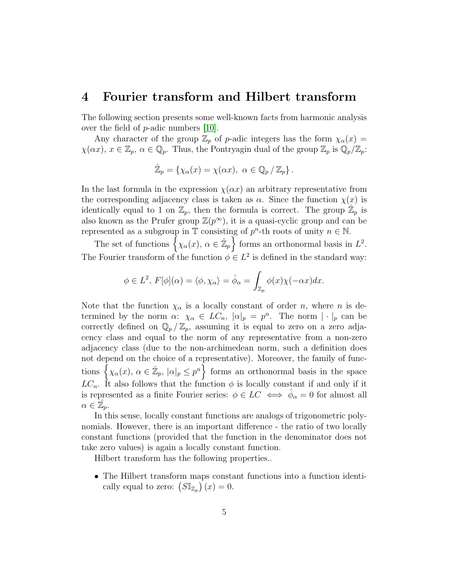#### 4 Fourier transform and Hilbert transform

The following section presents some well-known facts from harmonic analysis over the field of p-adic numbers [\[10\]](#page-12-9).

Any character of the group  $\mathbb{Z}_p$  of p-adic integers has the form  $\chi_\alpha(x) =$  $\chi(\alpha x)$ ,  $x \in \mathbb{Z}_p$ ,  $\alpha \in \mathbb{Q}_p$ . Thus, the Pontryagin dual of the group  $\mathbb{Z}_p$  is  $\mathbb{Q}_p/\mathbb{Z}_p$ :

$$
\hat{\mathbb{Z}}_p = \{ \chi_{\alpha}(x) = \chi(\alpha x), \ \alpha \in \mathbb{Q}_p / \mathbb{Z}_p \}.
$$

In the last formula in the expression  $\chi(\alpha x)$  an arbitrary representative from the corresponding adjacency class is taken as  $\alpha$ . Since the function  $\chi(x)$  is identically equal to 1 on  $\mathbb{Z}_p$ , then the formula is correct. The group  $\mathbb{Z}_p$  is also known as the Prufer group  $\mathbb{Z}(p^{\infty})$ , it is a quasi-cyclic group and can be represented as a subgroup in  $\mathbb T$  consisting of  $p^n$ -th roots of unity  $n \in \mathbb N$ .

The set of functions  $\left\{ \chi_{\alpha}(x), \alpha \in \hat{\mathbb{Z}}_p \right\}$  forms an orthonormal basis in  $L^2$ . The Fourier transform of the function  $\phi \in L^2$  is defined in the standard way:

$$
\phi \in L^2, F[\phi](\alpha) = \langle \phi, \chi_{\alpha} \rangle = \hat{\phi}_{\alpha} = \int_{\mathbb{Z}_p} \phi(x) \chi(-\alpha x) dx.
$$

Note that the function  $\chi_{\alpha}$  is a locally constant of order n, where n is determined by the norm  $\alpha: \chi_{\alpha} \in LC_n$ ,  $|\alpha|_p = p^n$ . The norm  $|\cdot|_p$  can be correctly defined on  $\mathbb{Q}_p/\mathbb{Z}_p$ , assuming it is equal to zero on a zero adjacency class and equal to the norm of any representative from a non-zero adjacency class (due to the non-archimedean norm, such a definition does not depend on the choice of a representative). Moreover, the family of functions  $\{\chi_{\alpha}(x), \alpha \in \mathbb{Z}_p, |\alpha|_p \leq p^n\}$  forms an orthonormal basis in the space  $LC_n$ . It also follows that the function  $\phi$  is locally constant if and only if it is represented as a finite Fourier series:  $\phi \in LC \iff \hat{\phi}_{\alpha} = 0$  for almost all  $\alpha \in \hat{\mathbb{Z}}_p.$ 

In this sense, locally constant functions are analogs of trigonometric polynomials. However, there is an important difference - the ratio of two locally constant functions (provided that the function in the denominator does not take zero values) is again a locally constant function.

Hilbert transform has the following properties..

• The Hilbert transform maps constant functions into a function identically equal to zero:  $(SI_{\mathbb{Z}_p})(x) = 0$ .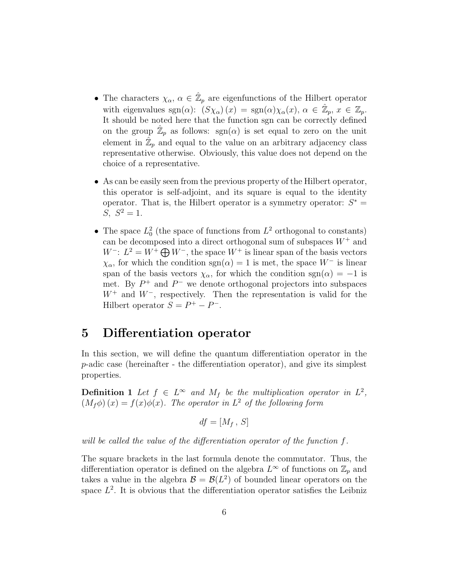- The characters  $\chi_{\alpha}, \alpha \in \hat{\mathbb{Z}}_p$  are eigenfunctions of the Hilbert operator with eigenvalues  $sgn(\alpha)$ :  $(S\chi_{\alpha})(x) = sgn(\alpha)\chi_{\alpha}(x), \alpha \in \mathbb{Z}_p, x \in \mathbb{Z}_p$ . It should be noted here that the function sgn can be correctly defined on the group  $\hat{\mathbb{Z}}_p$  as follows: sgn( $\alpha$ ) is set equal to zero on the unit element in  $\mathbb{Z}_p$  and equal to the value on an arbitrary adjacency class representative otherwise. Obviously, this value does not depend on the choice of a representative.
- As can be easily seen from the previous property of the Hilbert operator, this operator is self-adjoint, and its square is equal to the identity operator. That is, the Hilbert operator is a symmetry operator:  $S^*$  = S,  $S^2 = 1$ .
- The space  $L_0^2$  (the space of functions from  $L^2$  orthogonal to constants) can be decomposed into a direct orthogonal sum of subspaces  $W^+$  and  $W^-: L^2 = W^+ \bigoplus W^-$ , the space  $W^+$  is linear span of the basis vectors  $\chi_{\alpha}$ , for which the condition sgn( $\alpha$ ) = 1 is met, the space W<sup>-</sup> is linear span of the basis vectors  $\chi_{\alpha}$ , for which the condition sgn( $\alpha$ ) = −1 is met. By  $P^+$  and  $P^-$  we denote orthogonal projectors into subspaces  $W^+$  and  $W^-$ , respectively. Then the representation is valid for the Hilbert operator  $S = P^+ - P^-$ .

## 5 Differentiation operator

In this section, we will define the quantum differentiation operator in the p-adic case (hereinafter - the differentiation operator), and give its simplest properties.

**Definition 1** Let  $f \in L^{\infty}$  and  $M_f$  be the multiplication operator in  $L^2$ ,  $(M_f \phi)(x) = f(x)\phi(x)$ . The operator in  $L^2$  of the following form

$$
df=[M_f, S]
$$

will be called the value of the differentiation operator of the function f.

The square brackets in the last formula denote the commutator. Thus, the differentiation operator is defined on the algebra  $L^{\infty}$  of functions on  $\mathbb{Z}_p$  and takes a value in the algebra  $\mathcal{B} = \mathcal{B}(L^2)$  of bounded linear operators on the space  $L^2$ . It is obvious that the differentiation operator satisfies the Leibniz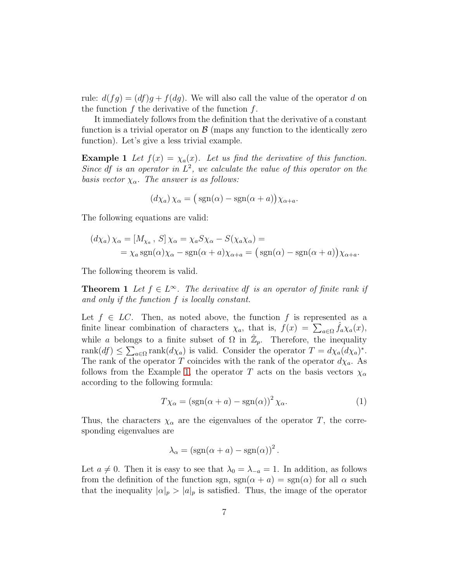rule:  $d(fg) = (df)g + f(dg)$ . We will also call the value of the operator d on the function  $f$  the derivative of the function  $f$ .

It immediately follows from the definition that the derivative of a constant function is a trivial operator on  $\beta$  (maps any function to the identically zero function). Let's give a less trivial example.

**Example 1** Let  $f(x) = \chi_a(x)$ . Let us find the derivative of this function. Since df is an operator in  $L^2$ , we calculate the value of this operator on the basis vector  $\chi_{\alpha}$ . The answer is as follows:

<span id="page-6-0"></span>
$$
(d\chi_a)\chi_\alpha = (\text{sgn}(\alpha) - \text{sgn}(\alpha + a))\chi_{\alpha + a}.
$$

The following equations are valid:

$$
(d\chi_a)\chi_\alpha = [M_{\chi_a}, S]\chi_\alpha = \chi_a S \chi_\alpha - S(\chi_a \chi_\alpha) =
$$
  
=  $\chi_a \text{sgn}(\alpha)\chi_\alpha - \text{sgn}(\alpha + a)\chi_{\alpha+a} = (\text{sgn}(\alpha) - \text{sgn}(\alpha + a))\chi_{\alpha+a}.$ 

The following theorem is valid.

**Theorem 1** Let  $f \in L^{\infty}$ . The derivative df is an operator of finite rank if and only if the function f is locally constant.

Let  $f \in LC$ . Then, as noted above, the function f is represented as a finite linear combination of characters  $\chi_a$ , that is,  $f(x) = \sum_{a \in \Omega} \hat{f}_a \chi_a(x)$ , while a belongs to a finite subset of  $\Omega$  in  $\mathbb{Z}_p$ . Therefore, the inequality rank $(df) \leq \sum_{a \in \Omega} \text{rank}(d\chi_a)$  is valid. Consider the operator  $T = d\chi_a (d\chi_a)^*$ . The rank of the operator T coincides with the rank of the operator  $d\chi_a$ . As follows from the Example [1,](#page-6-0) the operator T acts on the basis vectors  $\chi_{\alpha}$ according to the following formula:

<span id="page-6-1"></span>
$$
T\chi_{\alpha} = (\text{sgn}(\alpha + a) - \text{sgn}(\alpha))^2 \chi_{\alpha}.
$$
 (1)

Thus, the characters  $\chi_{\alpha}$  are the eigenvalues of the operator T, the corresponding eigenvalues are

$$
\lambda_{\alpha} = (\text{sgn}(\alpha + a) - \text{sgn}(\alpha))^2.
$$

Let  $a \neq 0$ . Then it is easy to see that  $\lambda_0 = \lambda_{-a} = 1$ . In addition, as follows from the definition of the function sgn,  $sgn(\alpha + a) = sgn(\alpha)$  for all  $\alpha$  such that the inequality  $|\alpha|_p > |a|_p$  is satisfied. Thus, the image of the operator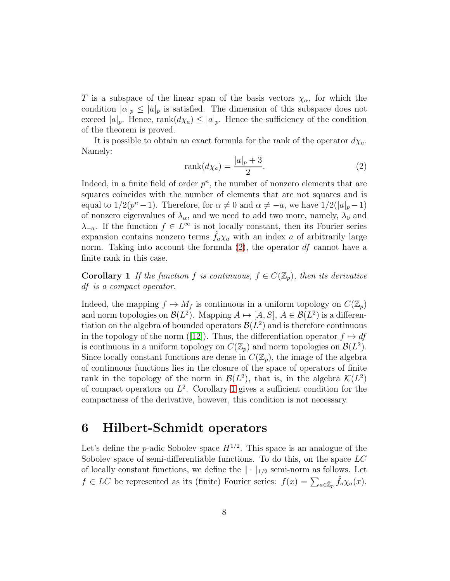T is a subspace of the linear span of the basis vectors  $\chi_{\alpha}$ , for which the condition  $|\alpha|_p \leq |a|_p$  is satisfied. The dimension of this subspace does not exceed  $|a|_p$ . Hence, rank $(d\chi_a) \leq |a|_p$ . Hence the sufficiency of the condition of the theorem is proved.

It is possible to obtain an exact formula for the rank of the operator  $d\chi_a$ . Namely:

<span id="page-7-0"></span>
$$
rank(d\chi_a) = \frac{|a|_p + 3}{2}.
$$
\n(2)

Indeed, in a finite field of order  $p^n$ , the number of nonzero elements that are squares coincides with the number of elements that are not squares and is equal to  $1/2(p^n-1)$ . Therefore, for  $\alpha \neq 0$  and  $\alpha \neq -a$ , we have  $1/2(|a|_p-1)$ of nonzero eigenvalues of  $\lambda_{\alpha}$ , and we need to add two more, namely,  $\lambda_0$  and  $\lambda_{-a}$ . If the function  $f \in L^{\infty}$  is not locally constant, then its Fourier series expansion contains nonzero terms  $f_a\chi_a$  with an index a of arbitrarily large norm. Taking into account the formula  $(2)$ , the operator  $df$  cannot have a finite rank in this case.

<span id="page-7-1"></span>**Corollary 1** If the function f is continuous,  $f \in C(\mathbb{Z}_p)$ , then its derivative df is a compact operator.

Indeed, the mapping  $f \mapsto M_f$  is continuous in a uniform topology on  $C(\mathbb{Z}_p)$ and norm topologies on  $\mathcal{B}(L^2)$ . Mapping  $A \mapsto [A, S], A \in \mathcal{B}(L^2)$  is a differentiation on the algebra of bounded operators  $\mathcal{B}(L^2)$  and is therefore continuous inthe topology of the norm ([\[12\]](#page-12-11)). Thus, the differentiation operator  $f \mapsto df$ is continuous in a uniform topology on  $C(\mathbb{Z}_p)$  and norm topologies on  $\mathcal{B}(L^2)$ . Since locally constant functions are dense in  $C(\mathbb{Z}_p)$ , the image of the algebra of continuous functions lies in the closure of the space of operators of finite rank in the topology of the norm in  $\mathcal{B}(L^2)$ , that is, in the algebra  $\mathcal{K}(L^2)$ of compact operators on  $L^2$ . Corollary [1](#page-7-1) gives a sufficient condition for the compactness of the derivative, however, this condition is not necessary.

## 6 Hilbert-Schmidt operators

Let's define the *p*-adic Sobolev space  $H^{1/2}$ . This space is an analogue of the Sobolev space of semi-differentiable functions. To do this, on the space LC of locally constant functions, we define the  $\|\cdot\|_{1/2}$  semi-norm as follows. Let  $f \in LC$  be represented as its (finite) Fourier series:  $f(x) = \sum_{a \in \hat{\mathbb{Z}}_p} \hat{f}_a \chi_a(x)$ .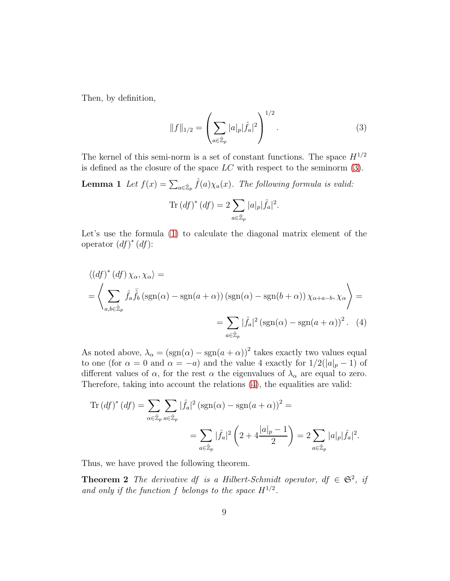Then, by definition,

<span id="page-8-0"></span>
$$
||f||_{1/2} = \left(\sum_{a \in \hat{\mathbb{Z}}_p} |a|_p |\hat{f}_a|^2\right)^{1/2}.
$$
 (3)

The kernel of this semi-norm is a set of constant functions. The space  $H^{1/2}$ is defined as the closure of the space  $LC$  with respect to the seminorm  $(3)$ .

**Lemma 1** Let  $f(x) = \sum_{a \in \hat{\mathbb{Z}}_p} \hat{f}(a) \chi_a(x)$ . The following formula is valid:

<span id="page-8-1"></span>
$$
\operatorname{Tr}\left( df\right)^{*}\left( df\right) =2\sum_{a\in\hat{\mathbb{Z}}_{p}}|a|_{p}|\hat{f}_{a}|^{2}.
$$

Let's use the formula [\(1\)](#page-6-1) to calculate the diagonal matrix element of the operator  $(df)^*(df)$ :

$$
\langle (df)^* (df) \chi_{\alpha}, \chi_{\alpha} \rangle =
$$
  
=  $\left\langle \sum_{a,b \in \hat{\mathbb{Z}}_p} \hat{f}_a \overline{\hat{f}}_b (\text{sgn}(\alpha) - \text{sgn}(a + \alpha)) (\text{sgn}(\alpha) - \text{sgn}(b + \alpha)) \chi_{\alpha + a - b}, \chi_{\alpha} \right\rangle =$   
=  $\sum_{a \in \hat{\mathbb{Z}}_p} |\hat{f}_a|^2 (\text{sgn}(\alpha) - \text{sgn}(a + \alpha))^2$ . (4)

As noted above,  $\lambda_{\alpha} = (\text{sgn}(\alpha) - \text{sgn}(a + \alpha))^2$  takes exactly two values equal to one (for  $\alpha = 0$  and  $\alpha = -a$ ) and the value 4 exactly for  $1/2(|a|_p - 1)$  of different values of  $\alpha$ , for the rest  $\alpha$  the eigenvalues of  $\lambda_{\alpha}$  are equal to zero. Therefore, taking into account the relations [\(4\)](#page-8-1), the equalities are valid:

Tr 
$$
(df)^{*} (df) = \sum_{\alpha \in \hat{\mathbb{Z}}_p} \sum_{a \in \hat{\mathbb{Z}}_p} |\hat{f}_a|^2 (\operatorname{sgn}(\alpha) - \operatorname{sgn}(a + \alpha))^2 =
$$
  

$$
= \sum_{a \in \hat{\mathbb{Z}}_p} |\hat{f}_a|^2 \left(2 + 4 \frac{|a|_p - 1}{2}\right) = 2 \sum_{a \in \hat{\mathbb{Z}}_p} |a|_p |\hat{f}_a|^2.
$$

Thus, we have proved the following theorem.

**Theorem 2** The derivative df is a Hilbert-Schmidt operator,  $df \in \mathfrak{S}^2$ , if and only if the function f belongs to the space  $H^{1/2}$ .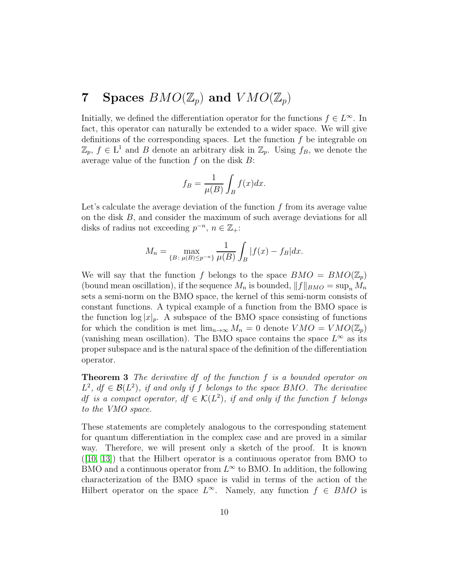# **7** Spaces  $BMO(\mathbb{Z}_p)$  and  $VMO(\mathbb{Z}_p)$

Initially, we defined the differentiation operator for the functions  $f \in L^{\infty}$ . In fact, this operator can naturally be extended to a wider space. We will give definitions of the corresponding spaces. Let the function  $f$  be integrable on  $\mathbb{Z}_p$ ,  $f \in L^1$  and  $B$  denote an arbitrary disk in  $\mathbb{Z}_p$ . Using  $f_B$ , we denote the average value of the function  $f$  on the disk  $B$ :

$$
f_B = \frac{1}{\mu(B)} \int_B f(x) dx.
$$

Let's calculate the average deviation of the function  $f$  from its average value on the disk B, and consider the maximum of such average deviations for all disks of radius not exceeding  $p^{-n}$ ,  $n \in \mathbb{Z}_+$ :

$$
M_n = \max_{\{B \colon \mu(B) \le p^{-n}\}} \frac{1}{\mu(B)} \int_B |f(x) - f_B| dx.
$$

We will say that the function f belongs to the space  $BMO = BMO(\mathbb{Z}_p)$ (bound mean oscillation), if the sequence  $M_n$  is bounded,  $||f||_{BMO} = \sup_n M_n$ sets a semi-norm on the BMO space, the kernel of this semi-norm consists of constant functions. A typical example of a function from the BMO space is the function  $\log |x|_p$ . A subspace of the BMO space consisting of functions for which the condition is met  $\lim_{n\to\infty} M_n = 0$  denote  $VMO = VMO(\mathbb{Z}_p)$ (vanishing mean oscillation). The BMO space contains the space  $L^{\infty}$  as its proper subspace and is the natural space of the definition of the differentiation operator.

<span id="page-9-0"></span>Theorem 3 The derivative df of the function f is a bounded operator on  $L^2$ ,  $df \in \mathcal{B}(L^2)$ , if and only if f belongs to the space BMO. The derivative df is a compact operator,  $df \in \mathcal{K}(L^2)$ , if and only if the function f belongs to the VMO space.

These statements are completely analogous to the corresponding statement for quantum differentiation in the complex case and are proved in a similar way. Therefore, we will present only a sketch of the proof. It is known  $([10, 13])$  $([10, 13])$  $([10, 13])$  $([10, 13])$  that the Hilbert operator is a continuous operator from BMO to BMO and a continuous operator from  $L^{\infty}$  to BMO. In addition, the following characterization of the BMO space is valid in terms of the action of the Hilbert operator on the space  $L^{\infty}$ . Namely, any function  $f \in BMO$  is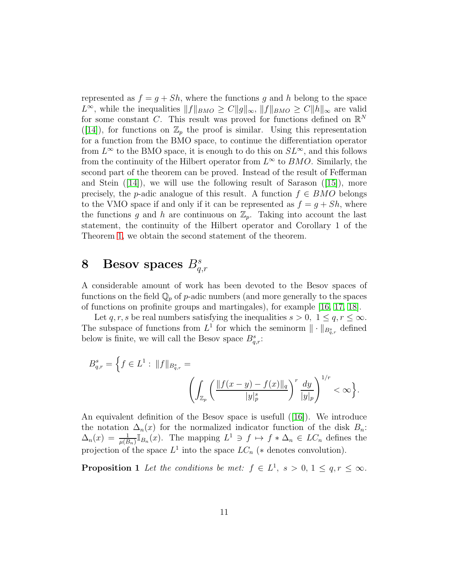represented as  $f = g + Sh$ , where the functions g and h belong to the space  $L^{\infty}$ , while the inequalities  $||f||_{BMO} \geq C||g||_{\infty}$ ,  $||f||_{BMO} \geq C||h||_{\infty}$  are valid for some constant C. This result was proved for functions defined on  $\mathbb{R}^N$ ([\[14\]](#page-13-0)), for functions on  $\mathbb{Z}_p$  the proof is similar. Using this representation for a function from the BMO space, to continue the differentiation operator from  $L^{\infty}$  to the BMO space, it is enough to do this on  $SL^{\infty}$ , and this follows from the continuity of the Hilbert operator from  $L^{\infty}$  to  $BMO$ . Similarly, the second part of the theorem can be proved. Instead of the result of Fefferman andStein  $(14)$ , we will use the following result of Sarason  $(15)$ , more precisely, the p-adic analogue of this result. A function  $f \in BMO$  belongs to the VMO space if and only if it can be represented as  $f = g + Sh$ , where the functions g and h are continuous on  $\mathbb{Z}_p$ . Taking into account the last statement, the continuity of the Hilbert operator and Corollary 1 of the Theorem [1,](#page-6-0) we obtain the second statement of the theorem.

# 8 Besov spaces  $B_{q,r}^s$

A considerable amount of work has been devoted to the Besov spaces of functions on the field  $\mathbb{Q}_p$  of p-adic numbers (and more generally to the spaces of functions on profinite groups and martingales), for example [\[16,](#page-13-2) [17,](#page-13-3) [18\]](#page-13-4).

Let  $q, r, s$  be real numbers satisfying the inequalities  $s > 0, 1 \leq q, r \leq \infty$ . The subspace of functions from  $L^1$  for which the seminorm  $\|\cdot\|_{B_{q,r}^s}$  defined below is finite, we will call the Besov space  $B_{q,r}^s$ :

$$
B_{q,r}^s = \left\{ f \in L^1 : ||f||_{B_{q,r}^s} = \left( \int_{\mathbb{Z}_p} \left( \frac{||f(x-y) - f(x)||_q}{|y|_p^s} \right)^r \frac{dy}{|y|_p} \right)^{1/r} < \infty \right\}.
$$

An equivalent definition of the Besov space is usefull([\[16\]](#page-13-2)). We introduce the notation  $\Delta_n(x)$  for the normalized indicator function of the disk  $B_n$ :  $\Delta_n(x) = \frac{1}{\mu(B_n)} \mathbb{I}_{B_n}(x)$ . The mapping  $L^1 \ni f \mapsto f * \Delta_n \in LC_n$  defines the projection of the space  $L^1$  into the space  $LC_n$  (\* denotes convolution).

**Proposition 1** Let the conditions be met:  $f \in L^1$ ,  $s > 0$ ,  $1 \le q, r \le \infty$ .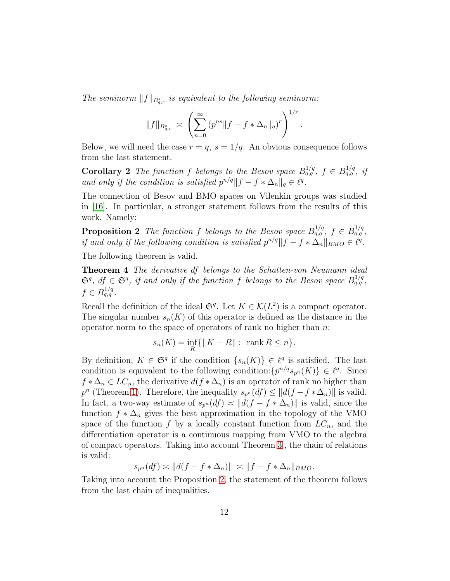The seminorm  $||f||_{B^s_{q,r}}$  is equivalent to the following seminorm:

$$
||f||_{B_{q,r}^s} \asymp \left( \sum_{n=0}^{\infty} (p^{ns} || f - f * \Delta_n ||_q)^r \right)^{1/r}
$$

.

Below, we will need the case  $r = q$ ,  $s = 1/q$ . An obvious consequence follows from the last statement.

**Corollary 2** The function f belongs to the Besov space  $B_{q,q}^{1/q}$ ,  $f \in B_{q,q}^{1/q}$ , if and only if the condition is satisfied  $p^{n/q} || f - f * \Delta_n ||_q \in \ell^q$ .

The connection of Besov and BMO spaces on Vilenkin groups was studied in [\[16\]](#page-13-2). In particular, a stronger statement follows from the results of this work. Namely:

<span id="page-11-0"></span>**Proposition 2** The function f belongs to the Besov space  $B_{q,q}^{1/q}$ ,  $f \in B_{q,q}^{1/q}$ , if and only if the following condition is satisfied  $p^{n/q} || f - f * \Delta_n ||_{BMO} \in \ell^q$ .

The following theorem is valid.

Theorem 4 The derivative df belongs to the Schatten-von Neumann ideal  $\mathfrak{S}^q$ ,  $df \in \mathfrak{S}^q$ , if and only if the function f belongs to the Besov space  $B_{q,q}^{1/q}$ ,  $f \in B_{q,q}^{1/q}$ .

Recall the definition of the ideal  $\mathfrak{S}^q$ . Let  $K \in \mathcal{K}(L^2)$  is a compact operator. The singular number  $s_n(K)$  of this operator is defined as the distance in the operator norm to the space of operators of rank no higher than  $n$ .

$$
s_n(K) = \inf_R \{ \|K - R\| : \operatorname{rank} R \le n \}.
$$

By definition,  $K \in \mathfrak{S}^q$  if the condition  $\{s_n(K)\}\in \ell^q$  is satisfied. The last condition is equivalent to the following condition:  $\{p^{n/q} s_{p^n}(K)\} \in \ell^q$ . Since  $f * \Delta_n \in LC_n$ , the derivative  $d(f * \Delta_n)$  is an operator of rank no higher than  $p^{n}$  (Theorem [1\)](#page-6-0). Therefore, the inequality  $s_{p^{n}}(df) \leq ||d(f - f * \Delta_{n})||$  is valid. In fact, a two-way estimate of  $s_{p^n}(df) \approx ||d(f - f * \Delta_n)||$  is valid, since the function  $f * \Delta_n$  gives the best approximation in the topology of the VMO space of the function f by a locally constant function from  $LC_n$ , and the differentiation operator is a continuous mapping from VMO to the algebra of compact operators. Taking into account Theorem [3](#page-9-0) , the chain of relations is valid:

$$
s_{p^n}(df) \asymp ||d(f - f * \Delta_n)|| \asymp ||f - f * \Delta_n||_{BMO}.
$$

Taking into account the Proposition [2,](#page-11-0) the statement of the theorem follows from the last chain of inequalities.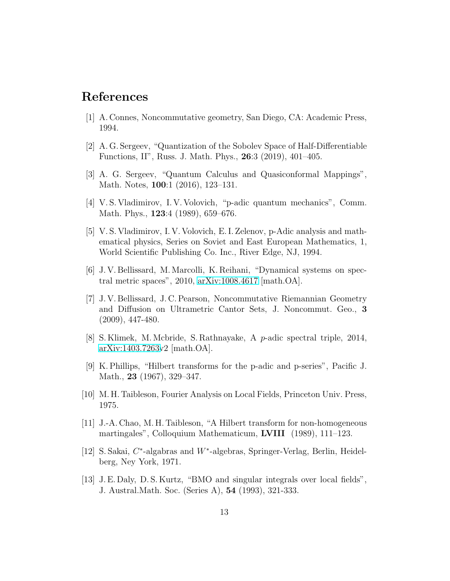## <span id="page-12-0"></span>References

- <span id="page-12-1"></span>[1] A. Connes, Noncommutative geometry, San Diego, CA: Academic Press, 1994.
- <span id="page-12-2"></span>[2] A. G. Sergeev, "Quantization of the Sobolev Space of Half-Differentiable Functions, II", Russ. J. Math. Phys., 26:3 (2019), 401–405.
- <span id="page-12-3"></span>[3] A. G. Sergeev, "Quantum Calculus and Quasiconformal Mappings", Math. Notes, 100:1 (2016), 123–131.
- <span id="page-12-4"></span>[4] V. S. Vladimirov, I. V. Volovich, "p-adic quantum mechanics", Comm. Math. Phys., **123**:4 (1989), 659–676.
- [5] V. S. Vladimirov, I. V. Volovich, E. I. Zelenov, p-Adic analysis and mathematical physics, Series on Soviet and East European Mathematics, 1, World Scientific Publishing Co. Inc., River Edge, NJ, 1994.
- <span id="page-12-6"></span><span id="page-12-5"></span>[6] J. V. Bellissard, M. Marcolli, K. Reihani, "Dynamical systems on spectral metric spaces", 2010, [arXiv:1008.4617](http://arxiv.org/abs/1008.4617) [math.OA].
- [7] J. V. Bellissard, J. C. Pearson, Noncommutative Riemannian Geometry and Diffusion on Ultrametric Cantor Sets, J. Noncommut. Geo., 3 (2009), 447-480.
- <span id="page-12-7"></span>[8] S. Klimek, M. Mcbride, S. Rathnayake, A p-adic spectral triple, 2014, [arXiv:1403.7263v](http://arxiv.org/abs/1403.7263)2 [math.OA].
- <span id="page-12-9"></span><span id="page-12-8"></span>[9] K. Phillips, "Hilbert transforms for the p-adic and p-series", Pacific J. Math., 23 (1967), 329–347.
- <span id="page-12-10"></span>[10] M. H. Taibleson, Fourier Analysis on Local Fields, Princeton Univ. Press, 1975.
- [11] J.-A. Chao, M. H. Taibleson, "A Hilbert transform for non-homogeneous martingales", Colloquium Mathematicum, LVIII (1989), 111–123.
- <span id="page-12-11"></span>[12] S. Sakai, C<sup>\*</sup>-algabras and W<sup>\*</sup>-algebras, Springer-Verlag, Berlin, Heidelberg, Ney York, 1971.
- <span id="page-12-12"></span>[13] J. E. Daly, D. S. Kurtz, "BMO and singular integrals over local fields", J. Austral.Math. Soc. (Series A), 54 (1993), 321-333.